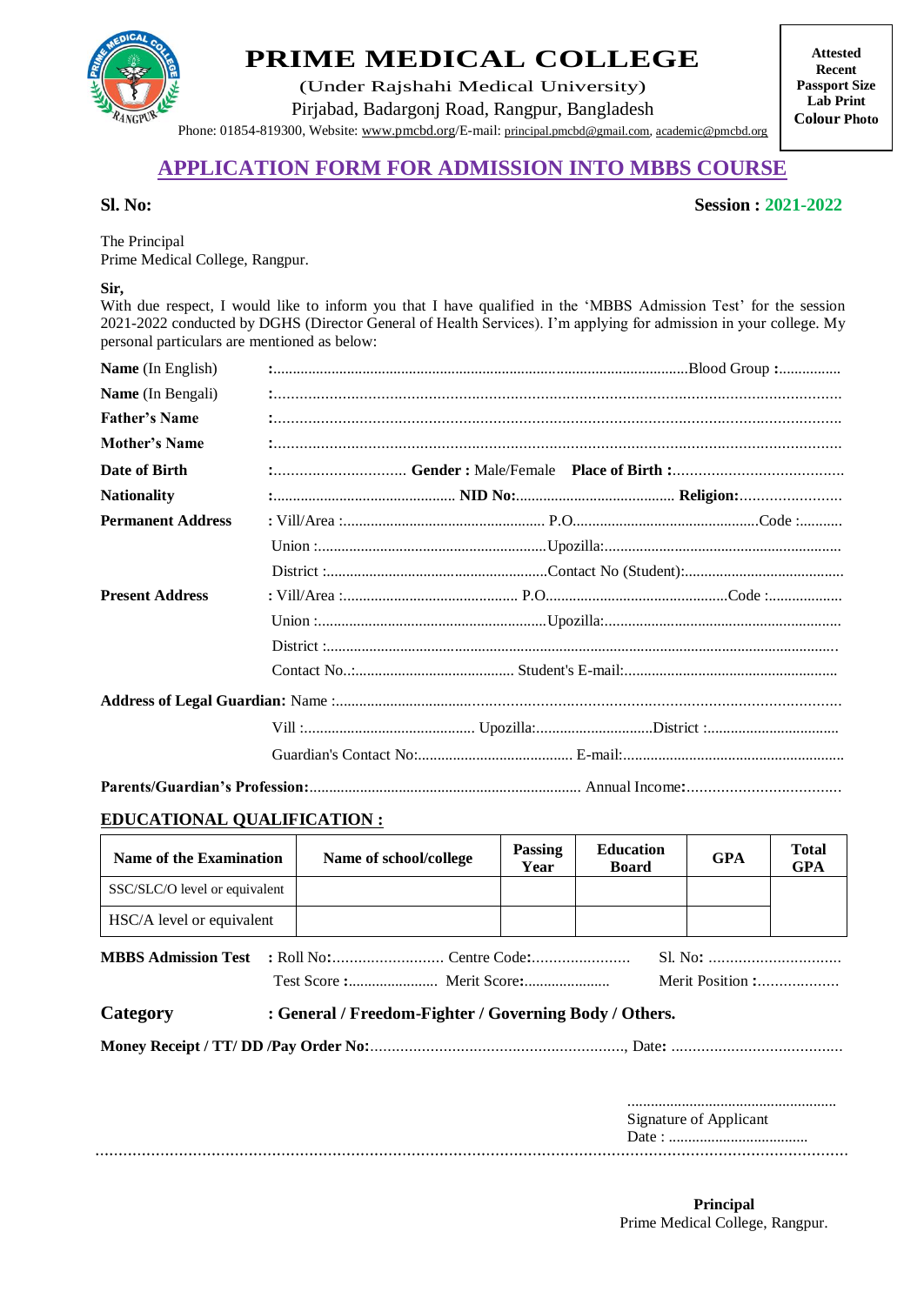

# **PRIME MEDICAL COLLEGE**

(Under Rajshahi Medical University) Pirjabad, Badargonj Road, Rangpur, Bangladesh Phone: 01854-819300, Website: www.pmcbd.org/E-mail: principal.pmcbd@gmail.com, [academic@pmcbd.org](mailto:pmcrang@gmail.com)

**Attested Recent Passport Size Lab Print Colour Photo**

## **APPLICATION FORM FOR ADMISSION INTO MBBS COURSE**

#### **Sl. No: Session : 2021-2022**

The Principal Prime Medical College, Rangpur.

#### **Sir,**

With due respect, I would like to inform you that I have qualified in the 'MBBS Admission Test' for the session 2021-2022 conducted by DGHS (Director General of Health Services). I'm applying for admission in your college. My personal particulars are mentioned as below:

| Name (In English)        |  |  |  |  |  |  |
|--------------------------|--|--|--|--|--|--|
| Name (In Bengali)        |  |  |  |  |  |  |
| <b>Father's Name</b>     |  |  |  |  |  |  |
| <b>Mother's Name</b>     |  |  |  |  |  |  |
| Date of Birth            |  |  |  |  |  |  |
| <b>Nationality</b>       |  |  |  |  |  |  |
| <b>Permanent Address</b> |  |  |  |  |  |  |
|                          |  |  |  |  |  |  |
|                          |  |  |  |  |  |  |
| <b>Present Address</b>   |  |  |  |  |  |  |
|                          |  |  |  |  |  |  |
|                          |  |  |  |  |  |  |
|                          |  |  |  |  |  |  |
|                          |  |  |  |  |  |  |
|                          |  |  |  |  |  |  |
|                          |  |  |  |  |  |  |
|                          |  |  |  |  |  |  |

### **EDUCATIONAL QUALIFICATION :**

| <b>Name of the Examination</b> |                                                        | Name of school/college | Passing<br>Year  | <b>Education</b><br><b>Board</b> | <b>GPA</b>             | <b>Total</b><br><b>GPA</b> |  |  |
|--------------------------------|--------------------------------------------------------|------------------------|------------------|----------------------------------|------------------------|----------------------------|--|--|
| SSC/SLC/O level or equivalent  |                                                        |                        |                  |                                  |                        |                            |  |  |
| HSC/A level or equivalent      |                                                        |                        |                  |                                  |                        |                            |  |  |
|                                |                                                        |                        | Merit Position : |                                  |                        |                            |  |  |
| Category                       | : General / Freedom-Fighter / Governing Body / Others. |                        |                  |                                  |                        |                            |  |  |
|                                |                                                        |                        |                  |                                  |                        |                            |  |  |
|                                |                                                        |                        |                  |                                  | Signature of Applicant |                            |  |  |
|                                |                                                        |                        |                  |                                  |                        |                            |  |  |

**Principal** Prime Medical College, Rangpur.